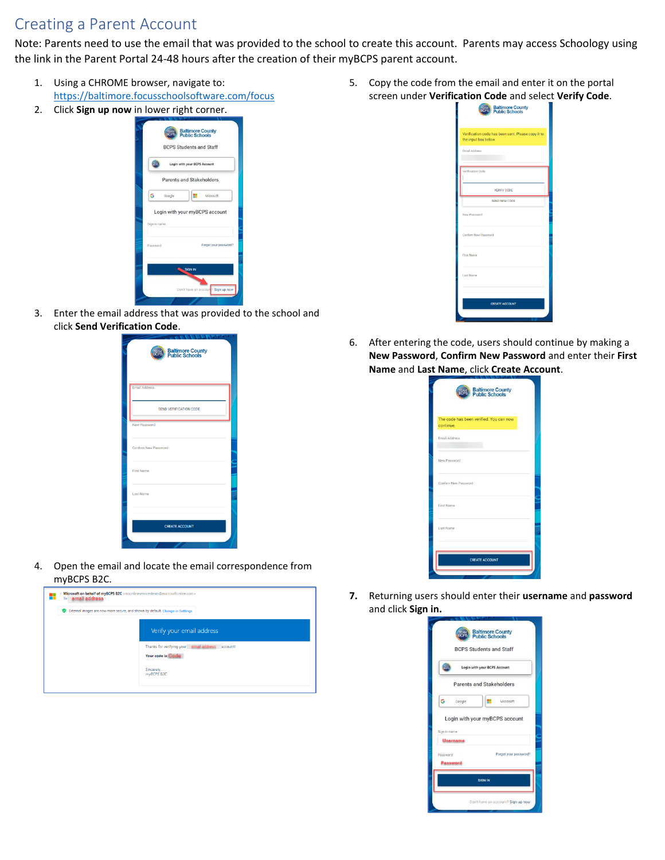## Creating a Parent Account

Note: Parents need to use the email that was provided to the school to create this account. Parents may access Schoology using the link in the Parent Portal 24-48 hours after the creation of their myBCPS parent account.

- 1. Using a CHROME browser, navigate to: [https://baltimore.focusschoolsoftware.com/focus](https://baltimore.focusschoolsoftware.com/focus/)
- 2. Click **Sign up now** in lower right corner.



3. Enter the email address that was provided to the school and click **Send Verification Code**.



4. Open the email and locate the email correspondence from myBCPS B2C.



5. Copy the code from the email and enter it on the portal screen under **Verification Code** and select **Verify Code**.

|                      | <b>Baltimore County</b><br><b>Public Schools</b>   |
|----------------------|----------------------------------------------------|
| the input box below. | Verification code has been sent. Please copy it to |
| Email Address        |                                                    |
| Verification Code    |                                                    |
|                      | <b>VERIFY CODE</b>                                 |
|                      | SEND NEW CODE                                      |
| New Password         |                                                    |
| Confirm New Password |                                                    |
| First Name           |                                                    |
| Last Name            |                                                    |
|                      | <b>CREATE ACCOUNT</b>                              |
|                      |                                                    |

6. After entering the code, users should continue by making a **New Password**, **Confirm New Password** and enter their **First Name** and **Last Name**, click **Create Account**.

|                                                      | <b>Baltimore County<br/>Public Schools</b> |  |
|------------------------------------------------------|--------------------------------------------|--|
| The code has been verified. You can now<br>continue. |                                            |  |
| Email Address                                        |                                            |  |
| New Password                                         |                                            |  |
| Confirm New Password                                 |                                            |  |
| First Name                                           |                                            |  |
| Last Name                                            |                                            |  |
|                                                      |                                            |  |

**7.** Returning users should enter their **username** and **password** and click **Sign in.**